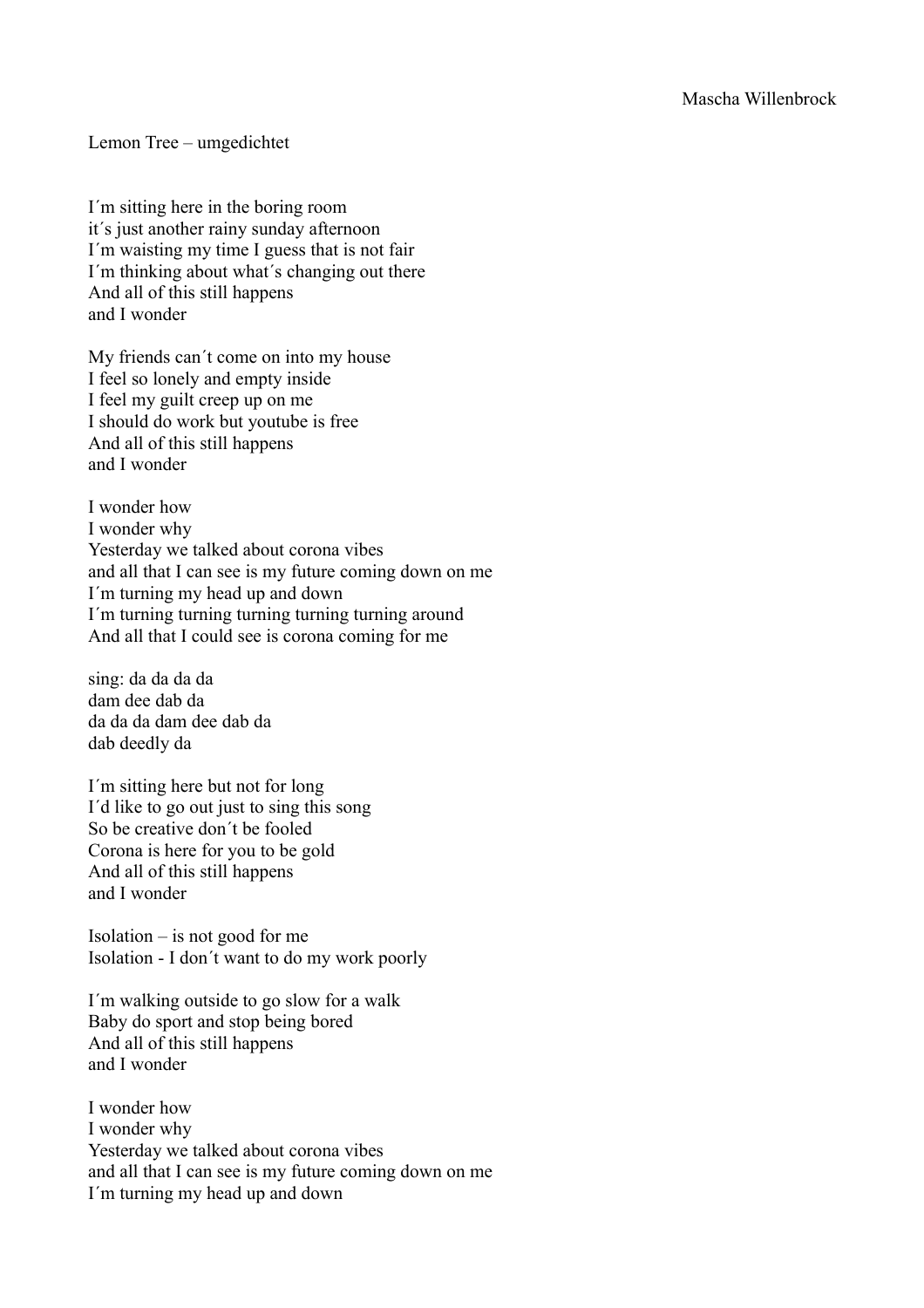Lemon Tree – umgedichtet

I´m sitting here in the boring room it´s just another rainy sunday afternoon I´m waisting my time I guess that is not fair I´m thinking about what´s changing out there And all of this still happens and I wonder

My friends can´t come on into my house I feel so lonely and empty inside I feel my guilt creep up on me I should do work but youtube is free And all of this still happens and I wonder

I wonder how I wonder why Yesterday we talked about corona vibes and all that I can see is my future coming down on me I´m turning my head up and down I´m turning turning turning turning turning around And all that I could see is corona coming for me

sing: da da da da dam dee dab da da da da dam dee dab da dab deedly da

I´m sitting here but not for long I´d like to go out just to sing this song So be creative don´t be fooled Corona is here for you to be gold And all of this still happens and I wonder

Isolation  $-$  is not good for me Isolation - I don´t want to do my work poorly

I´m walking outside to go slow for a walk Baby do sport and stop being bored And all of this still happens and I wonder

I wonder how I wonder why Yesterday we talked about corona vibes and all that I can see is my future coming down on me I´m turning my head up and down